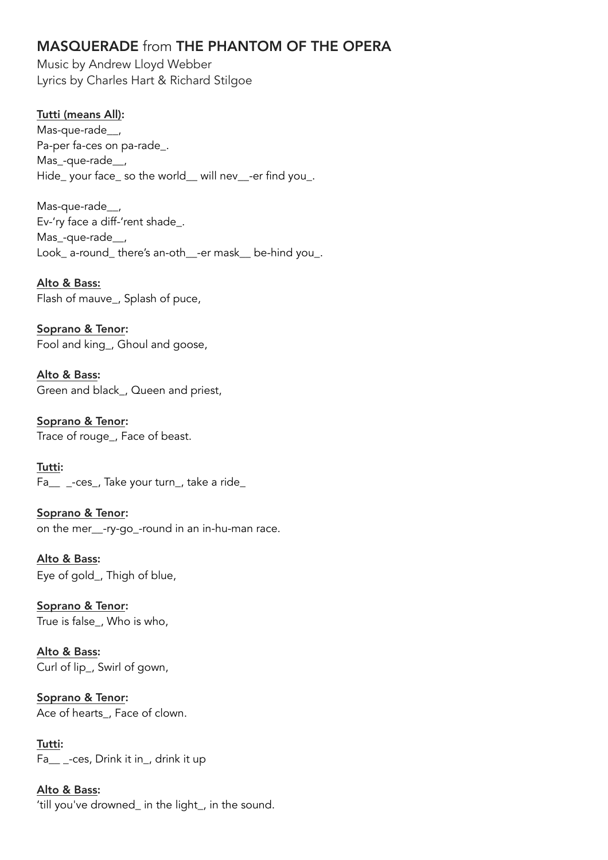# MASQUERADE from THE PHANTOM OF THE OPERA

Music by Andrew Lloyd Webber Lyrics by Charles Hart & Richard Stilgoe

## Tutti (means All):

Mas-que-rade\_\_, Pa-per fa-ces on pa-rade\_. Mas\_-que-rade\_\_, Hide\_ your face\_ so the world\_\_ will nev\_\_-er find you\_.

Mas-que-rade\_\_, Ev-'ry face a diff-'rent shade\_. Mas\_-que-rade\_\_, Look\_ a-round\_ there's an-oth\_\_-er mask\_\_ be-hind you\_.

Alto & Bass: Flash of mauve\_, Splash of puce,

Soprano & Tenor: Fool and king\_, Ghoul and goose,

Alto & Bass: Green and black\_, Queen and priest,

Soprano & Tenor: Trace of rouge\_, Face of beast.

Tutti: Fa\_\_ \_-ces\_, Take your turn\_, take a ride\_

Soprano & Tenor: on the mer\_\_-ry-go\_-round in an in-hu-man race.

Alto & Bass: Eye of gold\_, Thigh of blue,

Soprano & Tenor: True is false\_, Who is who,

Alto & Bass: Curl of lip\_, Swirl of gown,

Soprano & Tenor: Ace of hearts , Face of clown.

Tutti: Fa<sub>ces</sub>, Drink it in, drink it up

Alto & Bass: 'till you've drowned\_ in the light\_, in the sound.